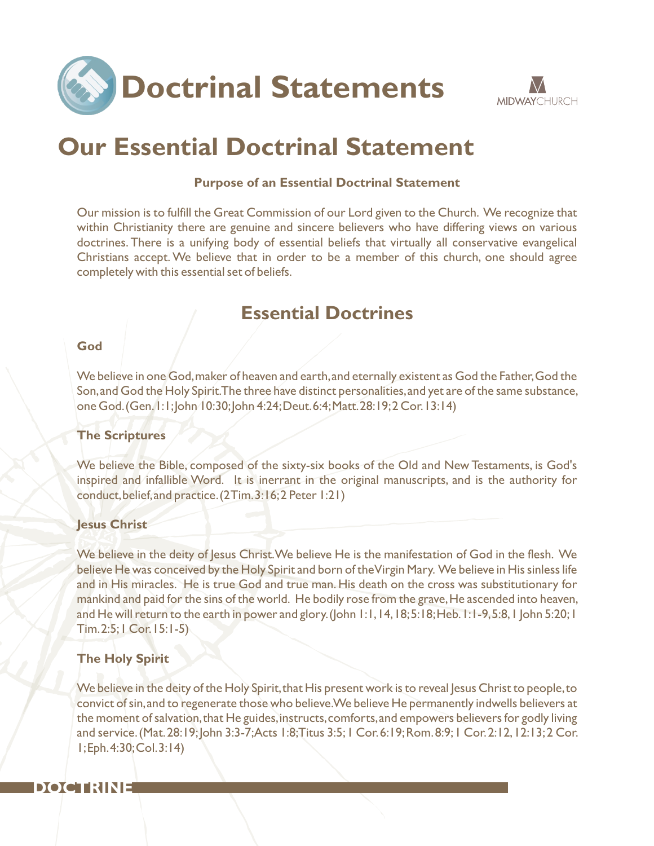



# **Our Essential Doctrinal Statement**

#### **Purpose of an Essential Doctrinal Statement**

Our mission is to fulfill the Great Commission of our Lord given to the Church. We recognize that within Christianity there are genuine and sincere believers who have differing views on various doctrines. There is a unifying body of essential beliefs that virtually all conservative evangelical Christians accept.We believe that in order to be a member of this church, one should agree completely with this essential set of beliefs.

# **Essential Doctrines**

#### **God**

We believe in one God,maker of heaven and earth,and eternally existent as God the Father,God the Son,and God the Holy Spirit.The three have distinct personalities,and yet are of the same substance, one God.(Gen.1:1;John 10:30;John 4:24;Deut.6:4;Matt.28:19;2 Cor.13:14)

#### **The Scriptures**

We believe the Bible, composed of the sixty-six books of the Old and New Testaments, is God's inspired and infallible Word. It is inerrant in the original manuscripts, and is the authority for conduct,belief,and practice.(2 Tim.3:16;2 Peter 1:21)

#### **Jesus Christ**

We believe in the deity of Jesus Christ. We believe He is the manifestation of God in the flesh. We believe He was conceived by the Holy Spirit and born of the Virgin Mary. We believe in His sinless life and in His miracles. He is true God and true man. His death on the cross was substitutionary for mankind and paid for the sins of the world. He bodily rose from the grave, He ascended into heaven, and He will return to the earth in power and glory.(John 1:1,14,18;5:18;Heb.1:1-9,5:8,1 John 5:20;1 Tim.2:5;1 Cor.15:1-5)

#### **The Holy Spirit**

We believe in the deity of the Holy Spirit, that His present work is to reveal Jesus Christ to people, to convict of sin,and to regenerate those who believe.We believe He permanently indwells believers at the moment of salvation, that He guides, instructs, comforts, and empowers believers for godly living and service.(Mat.28:19;John 3:3-7;Acts 1:8;Titus 3:5;1 Cor.6:19;Rom.8:9;1 Cor.2:12,12:13;2 Cor. 1;Eph.4:30;Col.3:14)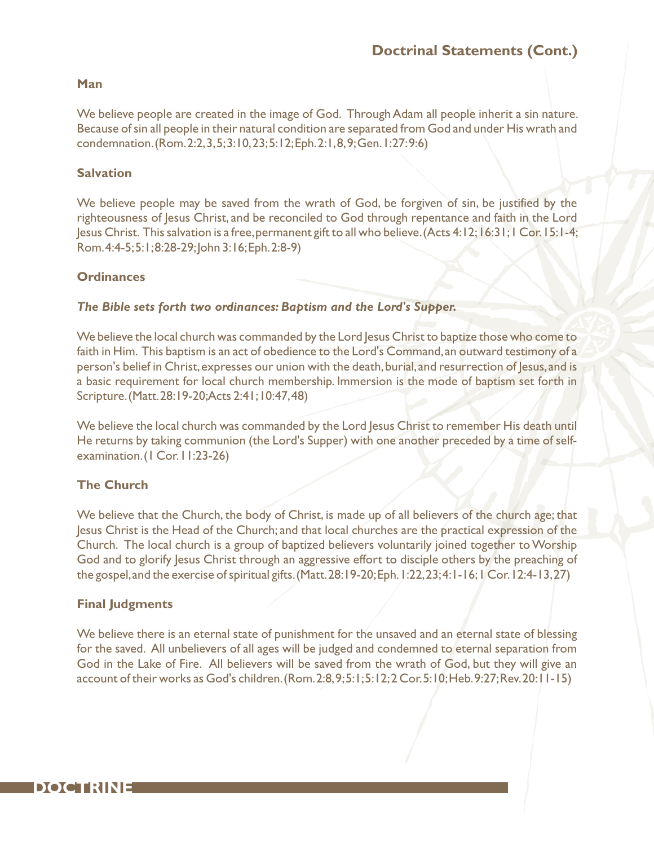#### **Man**

We believe people are created in the image of God. Through Adam all people inherit a sin nature. Because of sin all people in their natural condition are separated from God and under His wrath and condemnation.(Rom.2:2,3,5;3:10,23;5:12;Eph.2:1,8,9;Gen.1:27:9:6)

#### **Salvation**

We believe people may be saved from the wrath of God, be forgiven of sin, be justified by the righteousness of Jesus Christ, and be reconciled to God through repentance and faith in the Lord Jesus Christ. This salvation is a free,permanent gift to all who believe.(Acts 4:12;16:31;1 Cor.15:1-4; Rom.4:4-5;5:1;8:28-29;John 3:16;Eph.2:8-9)

#### **Ordinances**

#### *The Bible sets forth two ordinances: Baptism and the Lord's Supper.*

We believe the local church was commanded by the Lord Jesus Christ to baptize those who come to faith in Him. This baptism is an act of obedience to the Lord's Command, an outward testimony of a person's belief in Christ, expresses our union with the death, burial, and resurrection of Jesus, and is a basic requirement for local church membership. Immersion is the mode of baptism set forth in Scripture.(Matt.28:19-20;Acts 2:41;10:47,48)

We believe the local church was commanded by the Lord Jesus Christ to remember His death until He returns by taking communion (the Lord's Supper) with one another preceded by a time of selfexamination. (1 Cor. 11:23-26)

#### **The Church**

We believe that the Church, the body of Christ, is made up of all believers of the church age; that Jesus Christ is the Head of the Church; and that local churches are the practical expression of the Church. The local church is a group of baptized believers voluntarily joined together to Worship God and to glorify Jesus Christ through an aggressive effort to disciple others by the preaching of the gospel,and the exercise of spiritual gifts.(Matt.28:19-20;Eph.1:22,23;4:1-16;1 Cor.12:4-13,27)

#### **Final Judgments**

We believe there is an eternal state of punishment for the unsaved and an eternal state of blessing for the saved. All unbelievers of all ages will be judged and condemned to eternal separation from God in the Lake of Fire. All believers will be saved from the wrath of God, but they will give an account of their works as God's children.(Rom.2:8,9;5:1;5:12;2 Cor.5:10;Heb.9:27;Rev.20:11-15)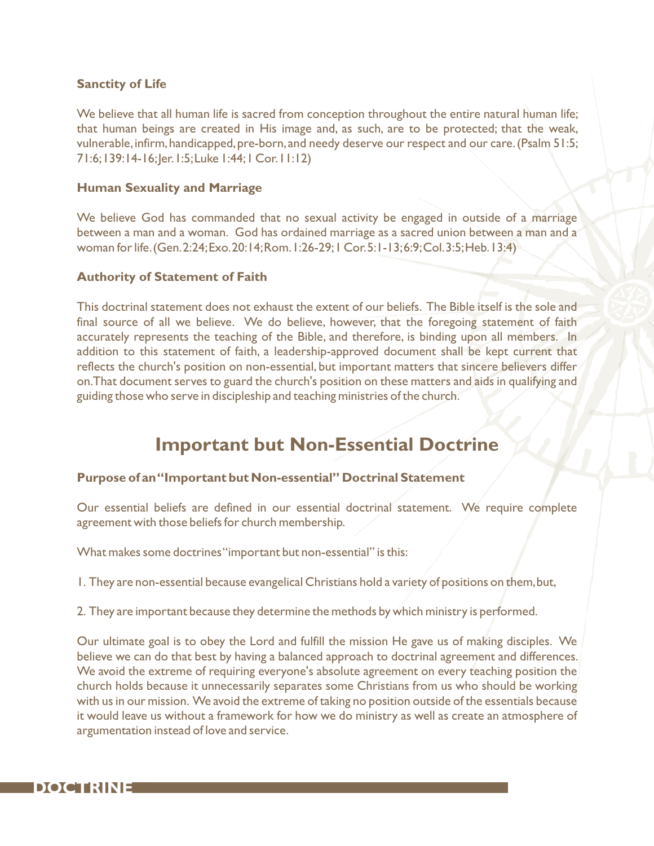#### **Sanctity of Life**

We believe that all human life is sacred from conception throughout the entire natural human life; that human beings are created in His image and, as such, are to be protected; that the weak, vulnerable, infirm, handicapped, pre-born, and needy deserve our respect and our care. (Psalm 51:5; 71:6;139:14-16;Jer.1:5;Luke 1:44;1 Cor.11:12)

#### **Human Sexuality and Marriage**

We believe God has commanded that no sexual activity be engaged in outside of a marriage between a man and a woman. God has ordained marriage as a sacred union between a man and a woman for life.(Gen.2:24;Exo.20:14;Rom.1:26-29;1 Cor.5:1-13;6:9;Col.3:5;Heb.13:4)

#### **Authority of Statement of Faith**

This doctrinal statement does not exhaust the extent of our beliefs. The Bible itself is the sole and final source of all we believe. We do believe, however, that the foregoing statement of faith accurately represents the teaching of the Bible, and therefore, is binding upon all members. In addition to this statement of faith, a leadership-approved document shall be kept current that reflects the church's position on non-essential, but important matters that sincere believers differ on.That document serves to guard the church's position on these matters and aids in qualifying and guiding those who serve in discipleship and teaching ministries of the church.

# **Important but Non-Essential Doctrine**

#### **Purpose of an "Important but Non-essential" Doctrinal Statement**

Our essential beliefs are defined in our essential doctrinal statement. We require complete agreement with those beliefs for church membership.

What makes some doctrines "important but non-essential" is this:

1. They are non-essential because evangelical Christians hold a variety of positions on them,but,

2. They are important because they determine the methods by which ministry is performed.

Our ultimate goal is to obey the Lord and fulfill the mission He gave us of making disciples. We believe we can do that best by having a balanced approach to doctrinal agreement and differences. We avoid the extreme of requiring everyone's absolute agreement on every teaching position the church holds because it unnecessarily separates some Christians from us who should be working with us in our mission. We avoid the extreme of taking no position outside of the essentials because it would leave us without a framework for how we do ministry as well as create an atmosphere of argumentation instead of love and service.

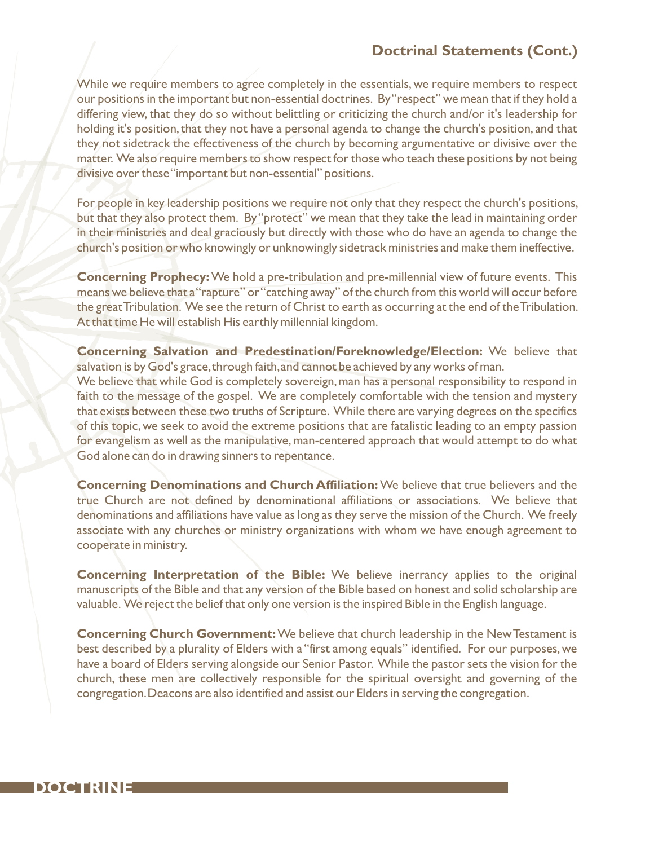### **Doctrinal Statements (Cont.)**

While we require members to agree completely in the essentials, we require members to respect our positions in the important but non-essential doctrines. By "respect" we mean that if they hold a differing view, that they do so without belittling or criticizing the church and/or it's leadership for holding it's position, that they not have a personal agenda to change the church's position, and that they not sidetrack the effectiveness of the church by becoming argumentative or divisive over the matter. We also require members to show respect for those who teach these positions by not being divisive over these "important but non-essential" positions.

For people in key leadership positions we require not only that they respect the church's positions, but that they also protect them. By "protect" we mean that they take the lead in maintaining order in their ministries and deal graciously but directly with those who do have an agenda to change the church's position or who knowingly or unknowingly sidetrack ministries and make them ineffective.

**Concerning Prophecy:**We hold a pre-tribulation and pre-millennial view of future events. This means we believe that a "rapture" or "catching away" of the church from this world will occur before the great Tribulation. We see the return of Christ to earth as occurring at the end of the Tribulation. At that time He will establish His earthly millennial kingdom.

**Concerning Salvation and Predestination/Foreknowledge/Election:** We believe that salvation is by God's grace,through faith,and cannot be achieved by any works of man. We believe that while God is completely sovereign, man has a personal responsibility to respond in faith to the message of the gospel. We are completely comfortable with the tension and mystery that exists between these two truths of Scripture. While there are varying degrees on the specifics of this topic,we seek to avoid the extreme positions that are fatalistic leading to an empty passion for evangelism as well as the manipulative, man-centered approach that would attempt to do what

God alone can do in drawing sinners to repentance.

**Concerning Denominations and Church Affiliation:**We believe that true believers and the true Church are not defined by denominational affiliations or associations. We believe that denominations and affiliations have value as long as they serve the mission of the Church. We freely associate with any churches or ministry organizations with whom we have enough agreement to cooperate in ministry.

**Concerning Interpretation of the Bible:** We believe inerrancy applies to the original manuscripts of the Bible and that any version of the Bible based on honest and solid scholarship are valuable. We reject the belief that only one version is the inspired Bible in the English language.

**Concerning Church Government:**We believe that church leadership in the New Testament is best described by a plurality of Elders with a "first among equals" identified. For our purposes, we have a board of Elders serving alongside our Senior Pastor. While the pastor sets the vision for the church, these men are collectively responsible for the spiritual oversight and governing of the congregation.Deacons are also identified and assist our Elders in serving the congregation.

## **DOCTRINE**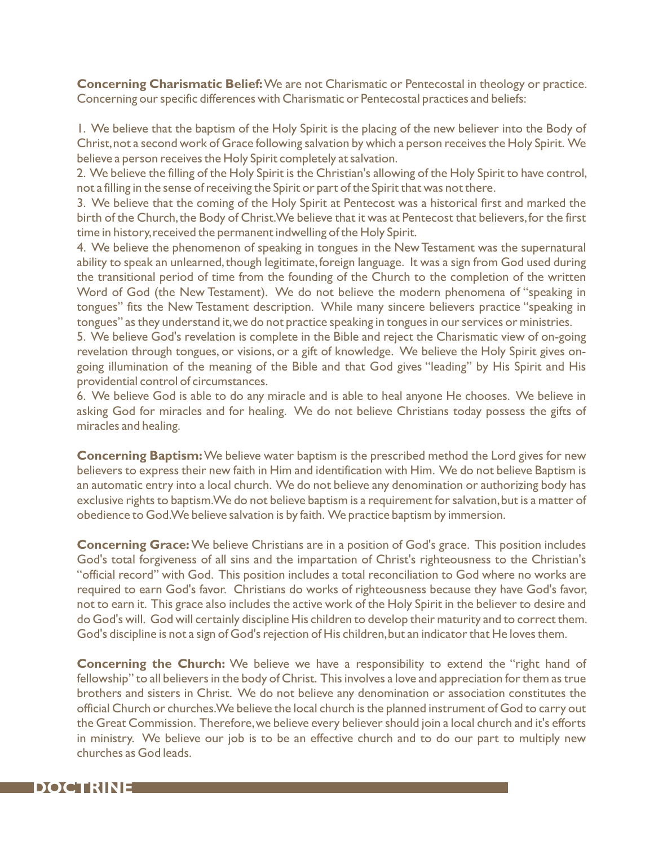**Concerning Charismatic Belief:**We are not Charismatic or Pentecostal in theology or practice. Concerning our specific differences with Charismatic or Pentecostal practices and beliefs:

1. We believe that the baptism of the Holy Spirit is the placing of the new believer into the Body of Christ,not a second work of Grace following salvation by which a person receives the Holy Spirit. We believe a person receives the Holy Spirit completely at salvation.

2. We believe the filling of the Holy Spirit is the Christian's allowing of the Holy Spirit to have control, not a filling in the sense of receiving the Spirit or part of the Spirit that was not there.

3. We believe that the coming of the Holy Spirit at Pentecost was a historical first and marked the birth of the Church, the Body of Christ. We believe that it was at Pentecost that believers, for the first time in history, received the permanent indwelling of the Holy Spirit.

4. We believe the phenomenon of speaking in tongues in the New Testament was the supernatural ability to speak an unlearned, though legitimate, foreign language. It was a sign from God used during the transitional period of time from the founding of the Church to the completion of the written Word of God (the New Testament). We do not believe the modern phenomena of "speaking in tongues" fits the New Testament description. While many sincere believers practice "speaking in tongues" as they understand it, we do not practice speaking in tongues in our services or ministries.

5. We believe God's revelation is complete in the Bible and reject the Charismatic view of on-going revelation through tongues, or visions, or a gift of knowledge. We believe the Holy Spirit gives ongoing illumination of the meaning of the Bible and that God gives "leading" by His Spirit and His providential control of circumstances.

6. We believe God is able to do any miracle and is able to heal anyone He chooses. We believe in asking God for miracles and for healing. We do not believe Christians today possess the gifts of miracles and healing.

**Concerning Baptism:**We believe water baptism is the prescribed method the Lord gives for new believers to express their new faith in Him and identification with Him. We do not believe Baptism is an automatic entry into a local church. We do not believe any denomination or authorizing body has exclusive rights to baptism. We do not believe baptism is a requirement for salvation, but is a matter of obedience to God.We believe salvation is by faith. We practice baptism by immersion.

**Concerning Grace:**We believe Christians are in a position of God's grace. This position includes God's total forgiveness of all sins and the impartation of Christ's righteousness to the Christian's "official record" with God. This position includes a total reconciliation to God where no works are required to earn God's favor. Christians do works of righteousness because they have God's favor, not to earn it. This grace also includes the active work of the Holy Spirit in the believer to desire and do God's will. God will certainly discipline His children to develop their maturity and to correct them. God's discipline is not a sign of God's rejection of His children,but an indicator that He loves them.

**Concerning the Church:** We believe we have a responsibility to extend the "right hand of fellowship" to all believers in the body of Christ. This involves a love and appreciation for them as true brothers and sisters in Christ. We do not believe any denomination or association constitutes the official Church or churches.We believe the local church is the planned instrument of God to carry out the Great Commission. Therefore,we believe every believer should join a local church and it's efforts in ministry. We believe our job is to be an effective church and to do our part to multiply new churches as God leads.